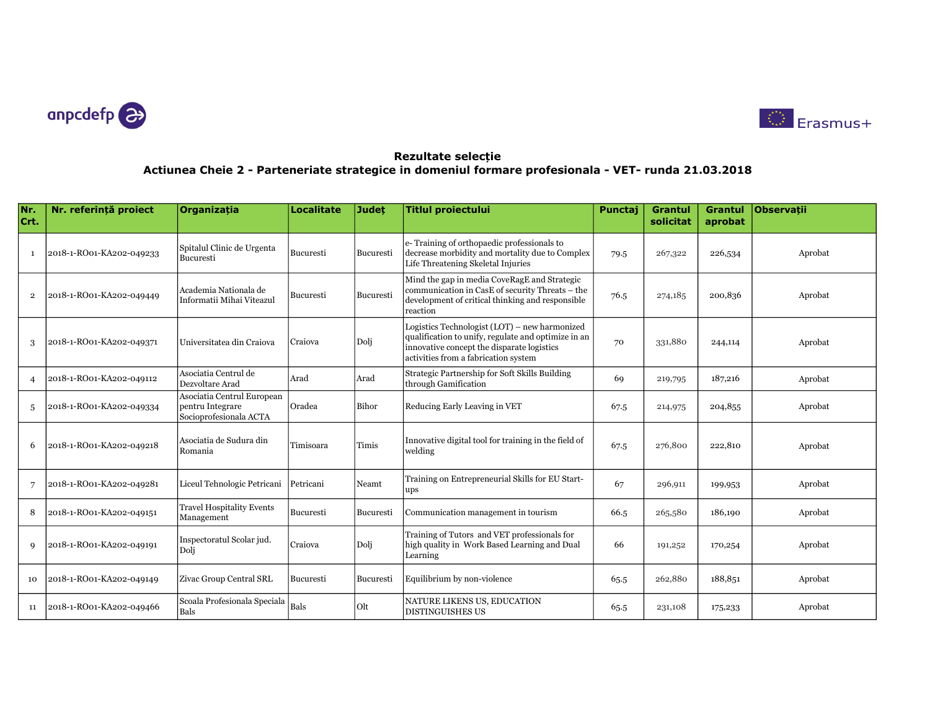



| Nr.<br>Crt.    | Nr. referintă proiect    | <b>Organizatia</b>                                                       | <b>Localitate</b> | Judet     | <b>Titlul proiectului</b>                                                                                                                                                                  | Punctaj | <b>Grantul</b><br>solicitat | <b>Grantul</b><br>aprobat | <b>Observatii</b> |
|----------------|--------------------------|--------------------------------------------------------------------------|-------------------|-----------|--------------------------------------------------------------------------------------------------------------------------------------------------------------------------------------------|---------|-----------------------------|---------------------------|-------------------|
| $\mathbf{1}$   | 2018-1-RO01-KA202-049233 | Spitalul Clinic de Urgenta<br>Bucuresti                                  | Bucuresti         | Bucuresti | e-Training of orthopaedic professionals to<br>decrease morbidity and mortality due to Complex<br>Life Threatening Skeletal Injuries                                                        | 79.5    | 267,322                     | 226,534                   | Aprobat           |
| $\overline{2}$ | 2018-1-RO01-KA202-049449 | Academia Nationala de<br>Informatii Mihai Viteazul                       | Bucuresti         | Bucuresti | Mind the gap in media CoveRagE and Strategic<br>communication in CasE of security Threats - the<br>development of critical thinking and responsible<br>reaction                            | 76.5    | 274,185                     | 200,836                   | Aprobat           |
| 3              | 2018-1-RO01-KA202-049371 | Universitatea din Craiova                                                | Craiova           | Dolj      | Logistics Technologist (LOT) – new harmonized<br>qualification to unify, regulate and optimize in an<br>innovative concept the disparate logistics<br>activities from a fabrication system | 70      | 331,880                     | 244,114                   | Aprobat           |
| $\overline{4}$ | 2018-1-RO01-KA202-049112 | Asociatia Centrul de<br>Dezvoltare Arad                                  | Arad              | Arad      | Strategic Partnership for Soft Skills Building<br>through Gamification                                                                                                                     | 69      | 219,795                     | 187,216                   | Aprobat           |
| 5              | 2018-1-RO01-KA202-049334 | Asociatia Centrul European<br>pentru Integrare<br>Socioprofesionala ACTA | Oradea            | Bihor     | Reducing Early Leaving in VET                                                                                                                                                              | 67.5    | 214,975                     | 204,855                   | Aprobat           |
| 6              | 2018-1-RO01-KA202-049218 | Asociatia de Sudura din<br>Romania                                       | Timisoara         | Timis     | Innovative digital tool for training in the field of<br>welding                                                                                                                            | 67.5    | 276,800                     | 222,810                   | Aprobat           |
| 7              | 2018-1-RO01-KA202-049281 | Liceul Tehnologic Petricani                                              | Petricani         | Neamt     | Training on Entrepreneurial Skills for EU Start-<br>ups                                                                                                                                    | 67      | 296,911                     | 199,953                   | Aprobat           |
| 8              | 2018-1-RO01-KA202-049151 | <b>Travel Hospitality Events</b><br>Management                           | Bucuresti         | Bucuresti | Communication management in tourism                                                                                                                                                        | 66.5    | 265,580                     | 186,190                   | Aprobat           |
| $\mathbf{Q}$   | 2018-1-RO01-KA202-049191 | Inspectoratul Scolar jud.<br>Doli                                        | Craiova           | Dolj      | Training of Tutors and VET professionals for<br>high quality in Work Based Learning and Dual<br>Learning                                                                                   | 66      | 191,252                     | 170,254                   | Aprobat           |
| 10             | 2018-1-RO01-KA202-049149 | Zivac Group Central SRL                                                  | Bucuresti         | Bucuresti | Equilibrium by non-violence                                                                                                                                                                | 65.5    | 262,880                     | 188,851                   | Aprobat           |
| 11             | 2018-1-RO01-KA202-049466 | Scoala Profesionala Speciala<br>Bals                                     | Bals              | Olt       | NATURE LIKENS US, EDUCATION<br><b>DISTINGUISHES US</b>                                                                                                                                     | 65.5    | 231,108                     | 175,233                   | Aprobat           |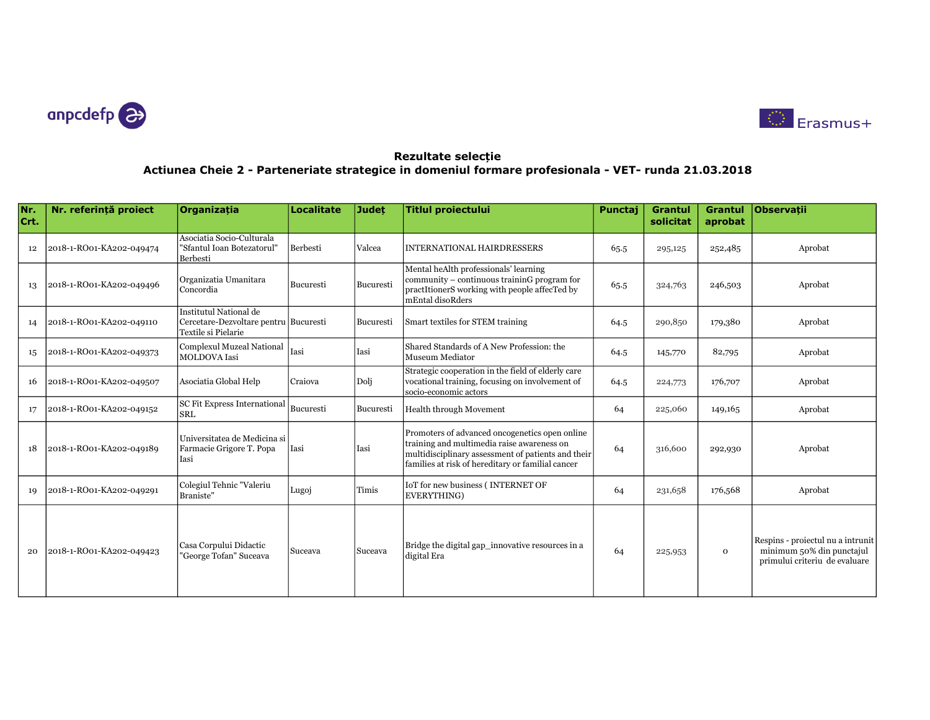



| Nr.<br>Crt. | Nr. referintă proiect    | <b>Organizatia</b>                                                                     | <b>Localitate</b> | <b>Judet</b> | <b>Titlul proiectului</b>                                                                                                                                                                               | Punctaj | Grantul<br>solicitat | Grantul<br>aprobat | <b>Observatii</b>                                                                               |
|-------------|--------------------------|----------------------------------------------------------------------------------------|-------------------|--------------|---------------------------------------------------------------------------------------------------------------------------------------------------------------------------------------------------------|---------|----------------------|--------------------|-------------------------------------------------------------------------------------------------|
| 12          | 2018-1-RO01-KA202-049474 | Asociatia Socio-Culturala<br>"Sfantul Ioan Botezatorul"<br>Berbesti                    | Berbesti          | Valcea       | INTERNATIONAL HAIRDRESSERS                                                                                                                                                                              | 65.5    | 295,125              | 252,485            | Aprobat                                                                                         |
| 13          | 2018-1-RO01-KA202-049496 | Organizatia Umanitara<br>  Concordia                                                   | Bucuresti         | Bucuresti    | Mental heAlth professionals' learning<br>community – continuous traininG program for<br>practItionerS working with people affecTed by<br>mEntal disoRders                                               | 65.5    | 324,763              | 246,503            | Aprobat                                                                                         |
| 14          | 2018-1-RO01-KA202-049110 | Institutul National de<br>Cercetare-Dezvoltare pentru Bucuresti<br>Textile si Pielarie |                   | Bucuresti    | Smart textiles for STEM training                                                                                                                                                                        | 64.5    | 290,850              | 179,380            | Aprobat                                                                                         |
| 15          | 2018-1-RO01-KA202-049373 | Complexul Muzeal National<br><b>MOLDOVA</b> Iasi                                       | Iasi              | Iasi         | Shared Standards of A New Profession: the<br>Museum Mediator                                                                                                                                            | 64.5    | 145,770              | 82,795             | Aprobat                                                                                         |
| 16          | 2018-1-RO01-KA202-049507 | Asociatia Global Help                                                                  | Craiova           | Doli         | Strategic cooperation in the field of elderly care<br>vocational training, focusing on involvement of<br>socio-economic actors                                                                          | 64.5    | 224,773              | 176,707            | Aprobat                                                                                         |
| 17          | 2018-1-RO01-KA202-049152 | <b>SC Fit Express International</b><br>İsrl                                            | Bucuresti         | Bucuresti    | Health through Movement                                                                                                                                                                                 | 64      | 225,060              | 149,165            | Aprobat                                                                                         |
| 18          | 2018-1-RO01-KA202-049189 | Universitatea de Medicina si<br>Farmacie Grigore T. Popa<br>Iasi                       | Iasi              | Iasi         | Promoters of advanced oncogenetics open online<br>training and multimedia raise awareness on<br>multidisciplinary assessment of patients and their<br>families at risk of hereditary or familial cancer | 64      | 316,600              | 292,930            | Aprobat                                                                                         |
| 19          | 2018-1-RO01-KA202-049291 | Colegiul Tehnic "Valeriu<br>Braniste"                                                  | Lugoj             | Timis        | IoT for new business (INTERNET OF<br>EVERYTHING)                                                                                                                                                        | 64      | 231,658              | 176,568            | Aprobat                                                                                         |
| 20          | 2018-1-RO01-KA202-049423 | Casa Corpului Didactic<br>"George Tofan" Suceava                                       | Suceava           | Suceava      | Bridge the digital gap_innovative resources in a<br>digital Era                                                                                                                                         | 64      | 225,953              | $\mathbf{o}$       | Respins - proiectul nu a intrunit<br>minimum 50% din punctajul<br>primului criteriu de evaluare |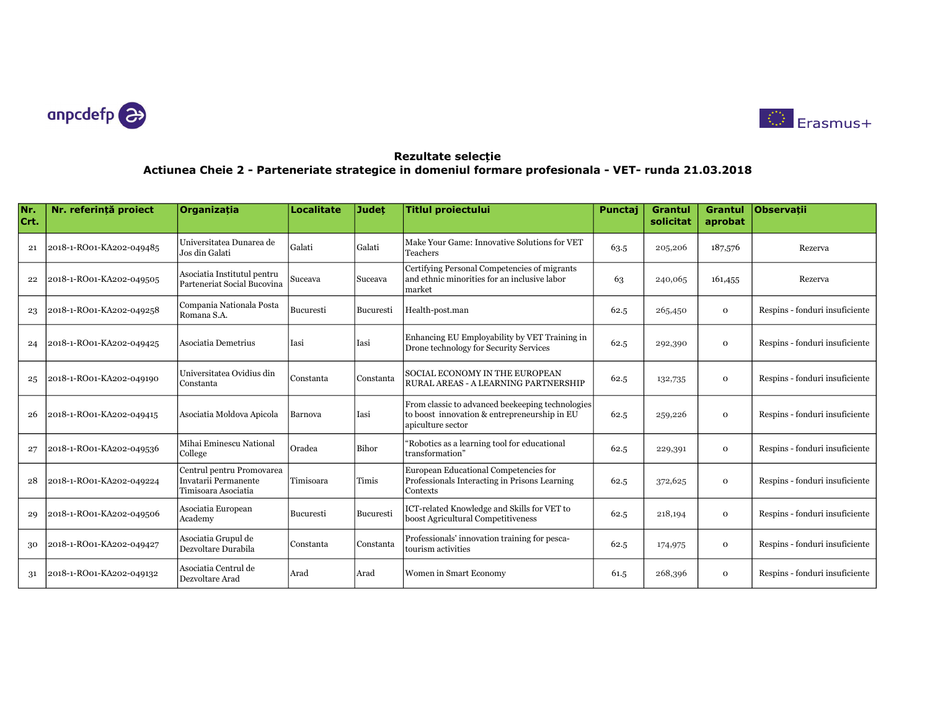



| Nr.<br>Crt. | Nr. referintă proiect    | Organizatia                                                              | Localitate  | <b>Judet</b> | <b>Titlul proiectului</b>                                                                                             | Punctaj | <b>Grantul</b><br>solicitat | <b>Grantul</b><br>aprobat | <b>Observatii</b>              |
|-------------|--------------------------|--------------------------------------------------------------------------|-------------|--------------|-----------------------------------------------------------------------------------------------------------------------|---------|-----------------------------|---------------------------|--------------------------------|
| 21          | 2018-1-RO01-KA202-049485 | Universitatea Dunarea de<br>Jos din Galati                               | Galati      | Galati       | Make Your Game: Innovative Solutions for VET <br>Teachers                                                             | 63.5    | 205,206                     | 187,576                   | Rezerva                        |
| 22          | 2018-1-RO01-KA202-049505 | Asociatia Institutul pentru<br>Parteneriat Social Bucovina               | Suceava     | Suceava      | Certifying Personal Competencies of migrants<br>and ethnic minorities for an inclusive labor<br>market                | 63      | 240,065                     | 161,455                   | Rezerva                        |
| 23          | 2018-1-RO01-KA202-049258 | Compania Nationala Posta<br>Romana S.A.                                  | Bucuresti   | Bucuresti    | Health-post.man                                                                                                       | 62.5    | 265,450                     | $\mathbf 0$               | Respins - fonduri insuficiente |
| 24          | 2018-1-RO01-KA202-049425 | Asociatia Demetrius                                                      | Iasi        | Iasi         | Enhancing EU Employability by VET Training in<br>Drone technology for Security Services                               | 62.5    | 292,390                     | $\mathbf{O}$              | Respins - fonduri insuficiente |
| 25          | 2018-1-RO01-KA202-049190 | Universitatea Ovidius din<br>Constanta                                   | l Constanta | Constanta    | SOCIAL ECONOMY IN THE EUROPEAN<br>RURAL AREAS - A LEARNING PARTNERSHIP                                                | 62.5    | 132,735                     | $\mathbf{O}$              | Respins - fonduri insuficiente |
| 26          | 2018-1-RO01-KA202-049415 | Asociatia Moldova Apicola                                                | Barnova     | Iasi         | From classic to advanced beekeeping technologies<br>to boost innovation & entrepreneurship in EU<br>apiculture sector | 62.5    | 259,226                     | $\mathbf{O}$              | Respins - fonduri insuficiente |
| 27          | 2018-1-RO01-KA202-049536 | Mihai Eminescu National<br>College                                       | Oradea      | Bihor        | "Robotics as a learning tool for educational<br>transformation"                                                       | 62.5    | 229,391                     | $\mathbf{O}$              | Respins - fonduri insuficiente |
| 28          | 2018-1-RO01-KA202-049224 | Centrul pentru Promovarea<br>Invatarii Permanente<br>Timisoara Asociatia | Timisoara   | Timis        | European Educational Competencies for<br><b>Professionals Interacting in Prisons Learning</b><br>Contexts             | 62.5    | 372,625                     | $\mathbf{O}$              | Respins - fonduri insuficiente |
| 29          | 2018-1-RO01-KA202-049506 | Asociatia European<br>Academy                                            | Bucuresti   | Bucuresti    | ICT-related Knowledge and Skills for VET to<br>boost Agricultural Competitiveness                                     | 62.5    | 218,194                     | $\mathbf{O}$              | Respins - fonduri insuficiente |
| 30          | 2018-1-RO01-KA202-049427 | Asociatia Grupul de<br>Dezvoltare Durabila                               | Constanta   | Constanta    | Professionals' innovation training for pesca-<br>tourism activities                                                   | 62.5    | 174,975                     | $\mathbf{O}$              | Respins - fonduri insuficiente |
| 31          | 2018-1-RO01-KA202-049132 | Asociatia Centrul de<br>Dezvoltare Arad                                  | Arad        | Arad         | Women in Smart Economy                                                                                                | 61.5    | 268,396                     | $\mathbf{O}$              | Respins - fonduri insuficiente |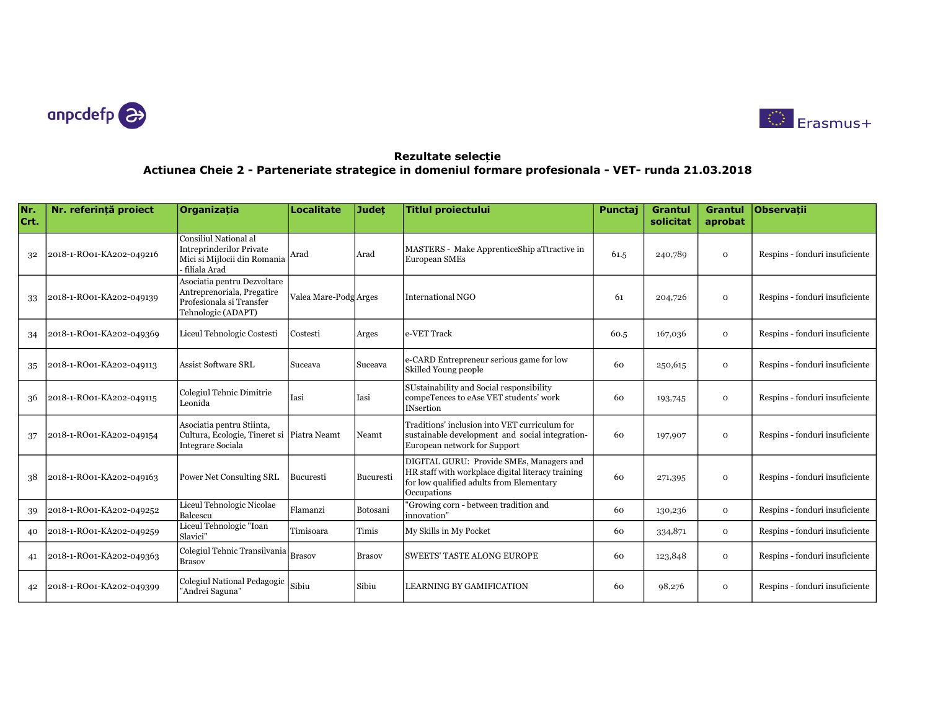



| Nr.<br>Crt. | Nr. referintă proiect    | Organizația                                                                                                 | <b>Localitate</b>     | <b>Judet</b>  | <b>Titlul proiectului</b>                                                                                                                                | Punctaj | <b>Grantul</b><br>solicitat | <b>Grantul</b><br>aprobat | <b>Observatii</b>              |
|-------------|--------------------------|-------------------------------------------------------------------------------------------------------------|-----------------------|---------------|----------------------------------------------------------------------------------------------------------------------------------------------------------|---------|-----------------------------|---------------------------|--------------------------------|
| 32          | 2018-1-RO01-KA202-049216 | Consiliul National al<br><b>Intreprinderilor Private</b><br>Mici si Mijlocii din Romania<br>- filiala Arad  | Arad                  | Arad          | MASTERS - Make ApprenticeShip aTtractive in<br>European SMEs                                                                                             | 61.5    | 240,789                     | $\mathbf{O}$              | Respins - fonduri insuficiente |
| 33          | 2018-1-RO01-KA202-049139 | Asociatia pentru Dezvoltare<br>Antreprenoriala, Pregatire<br>Profesionala si Transfer<br>Tehnologic (ADAPT) | Valea Mare-Podg Arges |               | <b>International NGO</b>                                                                                                                                 | 61      | 204,726                     | $\Omega$                  | Respins - fonduri insuficiente |
| 34          | 2018-1-RO01-KA202-049369 | Liceul Tehnologic Costesti                                                                                  | Costesti              | Arges         | e-VET Track                                                                                                                                              | 60.5    | 167,036                     | $\mathbf{O}$              | Respins - fonduri insuficiente |
| 35          | 2018-1-RO01-KA202-049113 | <b>Assist Software SRL</b>                                                                                  | Suceava               | Suceava       | e-CARD Entrepreneur serious game for low<br>Skilled Young people                                                                                         | 60      | 250,615                     | $\mathbf{O}$              | Respins - fonduri insuficiente |
| 36          | 2018-1-RO01-KA202-049115 | Colegiul Tehnic Dimitrie<br>Leonida                                                                         | Iasi                  | Iasi          | SUstainability and Social responsibility<br>compeTences to eAse VET students' work<br><b>INsertion</b>                                                   | 60      | 193,745                     | $\Omega$                  | Respins - fonduri insuficiente |
| 37          | 2018-1-RO01-KA202-049154 | Asociatia pentru Stiinta,<br>Cultura, Ecologie, Tineret si Piatra Neamt<br>Integrare Sociala                |                       | Neamt         | Traditions' inclusion into VET curriculum for<br>sustainable development and social integration-<br>European network for Support                         | 60      | 197,907                     | $\Omega$                  | Respins - fonduri insuficiente |
| 38          | 2018-1-RO01-KA202-049163 | Power Net Consulting SRL                                                                                    | Bucuresti             | Bucuresti     | DIGITAL GURU: Provide SMEs, Managers and<br>HR staff with workplace digital literacy training<br>for low qualified adults from Elementary<br>Occupations | 60      | 271,395                     | $\mathbf{O}$              | Respins - fonduri insuficiente |
| 39          | 2018-1-RO01-KA202-049252 | Liceul Tehnologic Nicolae<br>Balcescu                                                                       | Flamanzi              | Botosani      | "Growing corn - between tradition and<br>innovation"                                                                                                     | 60      | 130,236                     | $\mathbf{O}$              | Respins - fonduri insuficiente |
| 40          | 2018-1-RO01-KA202-049259 | Liceul Tehnologic "Ioan<br>Slavici"                                                                         | Timisoara             | Timis         | My Skills in My Pocket                                                                                                                                   | 60      | 334,871                     | $\mathbf{O}$              | Respins - fonduri insuficiente |
| 41          | 2018-1-RO01-KA202-049363 | Colegiul Tehnic Transilvania<br><b>Brasov</b>                                                               | <b>Brasov</b>         | <b>Brasov</b> | <b>SWEETS' TASTE ALONG EUROPE</b>                                                                                                                        | 60      | 123,848                     | $\mathbf{O}$              | Respins - fonduri insuficiente |
| 42          | 2018-1-RO01-KA202-049399 | Colegiul National Pedagogic<br>"Andrei Saguna"                                                              | Sibiu                 | Sibiu         | <b>LEARNING BY GAMIFICATION</b>                                                                                                                          | 60      | 98,276                      | $\mathbf{O}$              | Respins - fonduri insuficiente |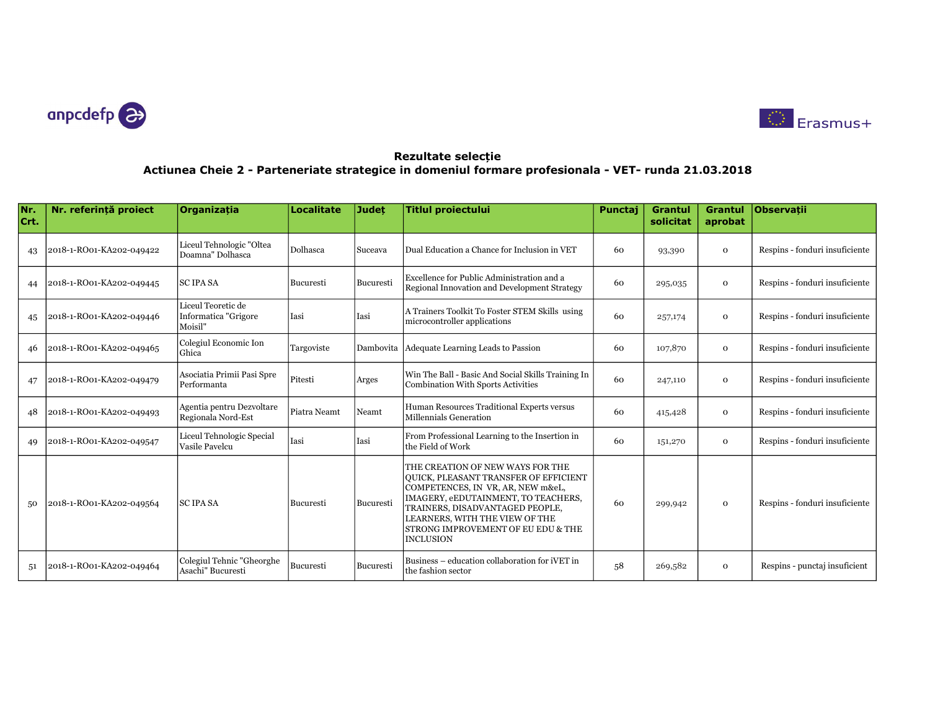



| Nr.<br>Crt. | Nr. referintă proiect    | Organizatia                                           | <b>Localitate</b> | <b>Judet</b> | <b>Titlul proiectului</b>                                                                                                                                                                                                                                                            | Punctaj | <b>Grantul</b><br>solicitat | Grantul<br>aprobat | Observatii                     |
|-------------|--------------------------|-------------------------------------------------------|-------------------|--------------|--------------------------------------------------------------------------------------------------------------------------------------------------------------------------------------------------------------------------------------------------------------------------------------|---------|-----------------------------|--------------------|--------------------------------|
| 43          | 2018-1-RO01-KA202-049422 | Liceul Tehnologic "Oltea<br>Doamna" Dolhasca          | Dolhasca          | Suceava      | Dual Education a Chance for Inclusion in VET                                                                                                                                                                                                                                         | 60      | 93,390                      | $\mathbf{o}$       | Respins - fonduri insuficiente |
| 44          | 2018-1-RO01-KA202-049445 | <b>SCIPASA</b>                                        | Bucuresti         | Bucuresti    | Excellence for Public Administration and a<br>Regional Innovation and Development Strategy                                                                                                                                                                                           | 60      | 295,035                     | $\mathbf 0$        | Respins - fonduri insuficiente |
| 45          | 2018-1-RO01-KA202-049446 | Liceul Teoretic de<br>Informatica "Grigore<br>Moisil" | Iasi              | Iasi         | A Trainers Toolkit To Foster STEM Skills using<br>microcontroller applications                                                                                                                                                                                                       | 60      | 257,174                     | $\mathbf 0$        | Respins - fonduri insuficiente |
| 46          | 2018-1-RO01-KA202-049465 | Colegiul Economic Ion<br>Ghica                        | Targoviste        | Dambovita    | Adequate Learning Leads to Passion                                                                                                                                                                                                                                                   | 60      | 107,870                     | $\mathbf 0$        | Respins - fonduri insuficiente |
| 47          | 2018-1-RO01-KA202-049479 | Asociatia Primii Pasi Spre<br>Performanta             | Pitesti           | Arges        | Win The Ball - Basic And Social Skills Training In<br>Combination With Sports Activities                                                                                                                                                                                             | 60      | 247,110                     | $\mathbf{o}$       | Respins - fonduri insuficiente |
| 48          | 2018-1-RO01-KA202-049493 | Agentia pentru Dezvoltare<br>Regionala Nord-Est       | Piatra Neamt      | Neamt        | Human Resources Traditional Experts versus<br>Millennials Generation                                                                                                                                                                                                                 | 60      | 415,428                     | $\mathbf 0$        | Respins - fonduri insuficiente |
| 49          | 2018-1-RO01-KA202-049547 | Liceul Tehnologic Special<br>Vasile Pavelcu           | Iasi              | Iasi         | From Professional Learning to the Insertion in<br>the Field of Work                                                                                                                                                                                                                  | 60      | 151,270                     | $\mathbf 0$        | Respins - fonduri insuficiente |
| 50          | 2018-1-RO01-KA202-049564 | <b>SCIPASA</b>                                        | Bucuresti         | Bucuresti    | THE CREATION OF NEW WAYS FOR THE<br>OUICK, PLEASANT TRANSFER OF EFFICIENT<br>COMPETENCES, IN VR, AR, NEW m&eL,<br>IMAGERY, eEDUTAINMENT, TO TEACHERS,<br>TRAINERS, DISADVANTAGED PEOPLE,<br>LEARNERS, WITH THE VIEW OF THE<br>STRONG IMPROVEMENT OF EU EDU & THE<br><b>INCLUSION</b> | 60      | 299,942                     | $\mathbf{o}$       | Respins - fonduri insuficiente |
| 51          | 2018-1-RO01-KA202-049464 | Colegiul Tehnic "Gheorghe<br>Asachi" Bucuresti        | Bucuresti         | Bucuresti    | Business – education collaboration for iVET in<br>the fashion sector                                                                                                                                                                                                                 | 58      | 269,582                     | $\mathbf 0$        | Respins - punctaj insuficient  |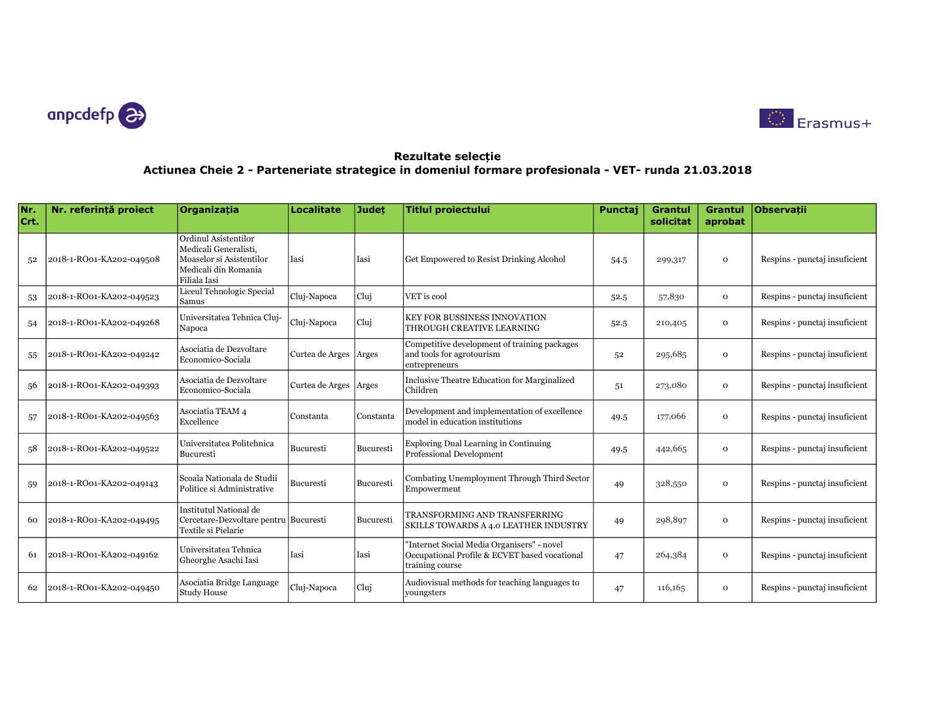



| Nr.<br>Crt. | Nr. referintă proiect    | <b>Organizatia</b>                                                                                                | <b>Localitate</b> | <b>Judet</b> | <b>Titlul proiectului</b>                                                                                      | Punctaj | <b>Grantul</b><br>solicitat | Grantul<br>aprobat | Observatii                    |
|-------------|--------------------------|-------------------------------------------------------------------------------------------------------------------|-------------------|--------------|----------------------------------------------------------------------------------------------------------------|---------|-----------------------------|--------------------|-------------------------------|
| 52          | 2018-1-RO01-KA202-049508 | Ordinul Asistentilor<br>Medicali Generalisti,<br>Moaselor si Asistentilor<br>Medicali din Romania<br>Filiala Iasi | Iasi              | Iasi         | Get Empowered to Resist Drinking Alcohol                                                                       | 54.5    | 299,317                     | $\Omega$           | Respins - punctaj insuficient |
| 53          | 2018-1-RO01-KA202-049523 | Liceul Tehnologic Special<br>Samus                                                                                | Cluj-Napoca       | Cluj         | VET is cool                                                                                                    | 52.5    | 57,830                      | $\Omega$           | Respins - punctaj insuficient |
| 54          | 2018-1-RO01-KA202-049268 | Universitatea Tehnica Cluj-<br>Napoca                                                                             | Cluj-Napoca       | Cluj         | <b>KEY FOR BUSSINESS INNOVATION</b><br>THROUGH CREATIVE LEARNING                                               | 52.5    | 210,405                     | $\mathbf{O}$       | Respins - punctaj insuficient |
| 55          | 2018-1-RO01-KA202-049242 | Asociatia de Dezvoltare<br>Economico-Sociala                                                                      | Curtea de Arges   | Arges        | Competitive development of training packages<br>and tools for agrotourism<br>entrepreneurs                     | 52      | 295,685                     | $\mathbf{O}$       | Respins - punctaj insuficient |
| 56          | 2018-1-RO01-KA202-049393 | Asociatia de Dezvoltare<br>Economico-Sociala                                                                      | Curtea de Arges   | Arges        | Inclusive Theatre Education for Marginalized<br>Children                                                       | 51      | 273,080                     | $\mathbf{O}$       | Respins - punctaj insuficient |
| 57          | 2018-1-RO01-KA202-049563 | Asociatia TEAM 4<br>Excellence                                                                                    | Constanta         | Constanta    | Development and implementation of excellence<br>model in education institutions                                | 49.5    | 177,066                     | $\mathbf{O}$       | Respins - punctaj insuficient |
| .58         | 2018-1-RO01-KA202-049522 | Universitatea Politehnica<br>Bucuresti                                                                            | Bucuresti         | Bucuresti    | Exploring Dual Learning in Continuing<br>Professional Development                                              | 49.5    | 442,665                     | $\mathbf{O}$       | Respins - punctaj insuficient |
| 59          | 2018-1-RO01-KA202-049143 | Scoala Nationala de Studii<br>Politice si Administrative                                                          | Bucuresti         | Bucuresti    | Combating Unemployment Through Third Sector<br>Empowerment                                                     | 49      | 328,550                     | $\mathbf{O}$       | Respins - punctaj insuficient |
| 60          | 2018-1-RO01-KA202-049495 | Institutul National de<br>Cercetare-Dezvoltare pentru Bucuresti<br>Textile si Pielarie                            |                   | Bucuresti    | TRANSFORMING AND TRANSFERRING<br>SKILLS TOWARDS A 4.0 LEATHER INDUSTRY                                         | 49      | 298,897                     | $\mathbf{O}$       | Respins - punctaj insuficient |
| 61          | 2018-1-RO01-KA202-049162 | Universitatea Tehnica<br>Gheorghe Asachi Iasi                                                                     | Iasi              | Iasi         | "Internet Social Media Organisers" - novel<br>Occupational Profile & ECVET based vocational<br>training course | 47      | 264,384                     | $\mathbf{O}$       | Respins - punctaj insuficient |
| 62          | 2018-1-RO01-KA202-049450 | Asociatia Bridge Language<br>Study House                                                                          | Cluj-Napoca       | Cluj         | Audiovisual methods for teaching languages to<br>youngsters                                                    | 47      | 116,165                     | $\mathbf 0$        | Respins - punctaj insuficient |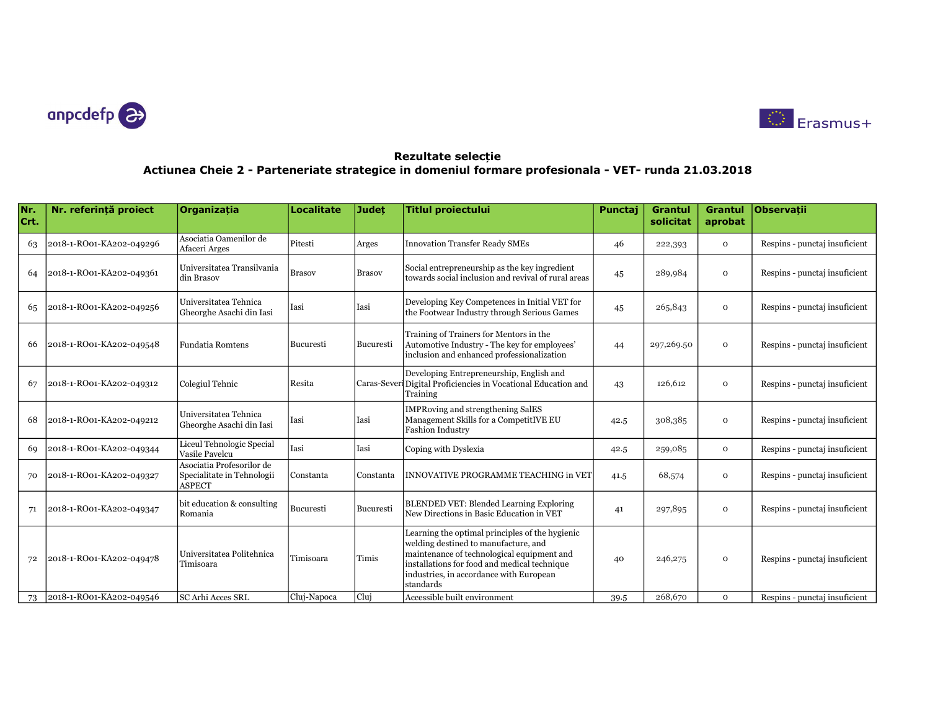



| Nr.<br>Crt. | Nr. referintă proiect    | <b>Organizatia</b>                                                       | <b>Localitate</b> | <b>Judet</b>  | <b>Titlul proiectului</b>                                                                                                                                                                                                                     | Punctaj | <b>Grantul</b><br>solicitat | <b>Grantul</b><br>aprobat | Observatii                    |
|-------------|--------------------------|--------------------------------------------------------------------------|-------------------|---------------|-----------------------------------------------------------------------------------------------------------------------------------------------------------------------------------------------------------------------------------------------|---------|-----------------------------|---------------------------|-------------------------------|
| 63          | 2018-1-RO01-KA202-049296 | Asociatia Oamenilor de<br>Afaceri Arges                                  | Pitesti           | Arges         | <b>Innovation Transfer Ready SMEs</b>                                                                                                                                                                                                         | 46      | 222,393                     | $\mathbf 0$               | Respins - punctaj insuficient |
| 64          | 2018-1-RO01-KA202-049361 | Universitatea Transilvania<br>din Brasov                                 | <b>Brasov</b>     | <b>Brasov</b> | Social entrepreneurship as the key ingredient<br>towards social inclusion and revival of rural areas                                                                                                                                          | 45      | 289,984                     | $\mathbf{o}$              | Respins - punctaj insuficient |
| 65          | 2018-1-RO01-KA202-049256 | Universitatea Tehnica<br>Gheorghe Asachi din Iasi                        | Iasi              | Iasi          | Developing Key Competences in Initial VET for<br>the Footwear Industry through Serious Games                                                                                                                                                  | 45      | 265,843                     | $\mathbf{o}$              | Respins - punctaj insuficient |
| 66          | 2018-1-RO01-KA202-049548 | <b>Fundatia Romtens</b>                                                  | Bucuresti         | Bucuresti     | Training of Trainers for Mentors in the<br>Automotive Industry - The key for employees'<br>inclusion and enhanced professionalization                                                                                                         | 44      | 297,269.50                  | $\mathbf{o}$              | Respins - punctaj insuficient |
| 67          | 2018-1-RO01-KA202-049312 | Colegiul Tehnic                                                          | Resita            |               | Developing Entrepreneurship, English and<br>Caras-Sever Digital Proficiencies in Vocational Education and<br>Training                                                                                                                         | 43      | 126,612                     | $\mathbf{o}$              | Respins - punctaj insuficient |
| 68          | 2018-1-RO01-KA202-049212 | Universitatea Tehnica<br>Gheorghe Asachi din Iasi                        | Iasi              | Iasi          | <b>IMPRoving and strengthening SalES</b><br>Management Skills for a CompetitIVE EU<br><b>Fashion Industry</b>                                                                                                                                 | 42.5    | 308,385                     | $\mathbf{o}$              | Respins - punctaj insuficient |
| 69          | 2018-1-RO01-KA202-049344 | Liceul Tehnologic Special<br>Vasile Pavelcu                              | Iasi              | Iasi          | Coping with Dyslexia                                                                                                                                                                                                                          | 42.5    | 259,085                     | $\mathbf{o}$              | Respins - punctaj insuficient |
| 70          | 2018-1-RO01-KA202-049327 | Asociatia Profesorilor de<br>Specialitate in Tehnologii<br><b>ASPECT</b> | Constanta         | Constanta     | INNOVATIVE PROGRAMME TEACHING in VET                                                                                                                                                                                                          | 41.5    | 68,574                      | $\mathbf{o}$              | Respins - punctaj insuficient |
| 71          | 2018-1-RO01-KA202-049347 | bit education & consulting<br>Romania                                    | Bucuresti         | Bucuresti     | BLENDED VET: Blended Learning Exploring<br>New Directions in Basic Education in VET                                                                                                                                                           | 41      | 297,895                     | $\mathbf{o}$              | Respins - punctaj insuficient |
|             | 2018-1-RO01-KA202-049478 | Universitatea Politehnica<br>Timisoara                                   | Timisoara         | Timis         | Learning the optimal principles of the hygienic<br>welding destined to manufacture, and<br>maintenance of technological equipment and<br>installations for food and medical technique<br>industries, in accordance with European<br>standards | 40      | 246,275                     | $\mathbf{o}$              | Respins - punctaj insuficient |
| 73          | 2018-1-RO01-KA202-049546 | SC Arhi Acces SRL                                                        | Cluj-Napoca       | Clui          | Accessible built environment                                                                                                                                                                                                                  | 39.5    | 268,670                     | $\mathbf{o}$              | Respins - punctai insuficient |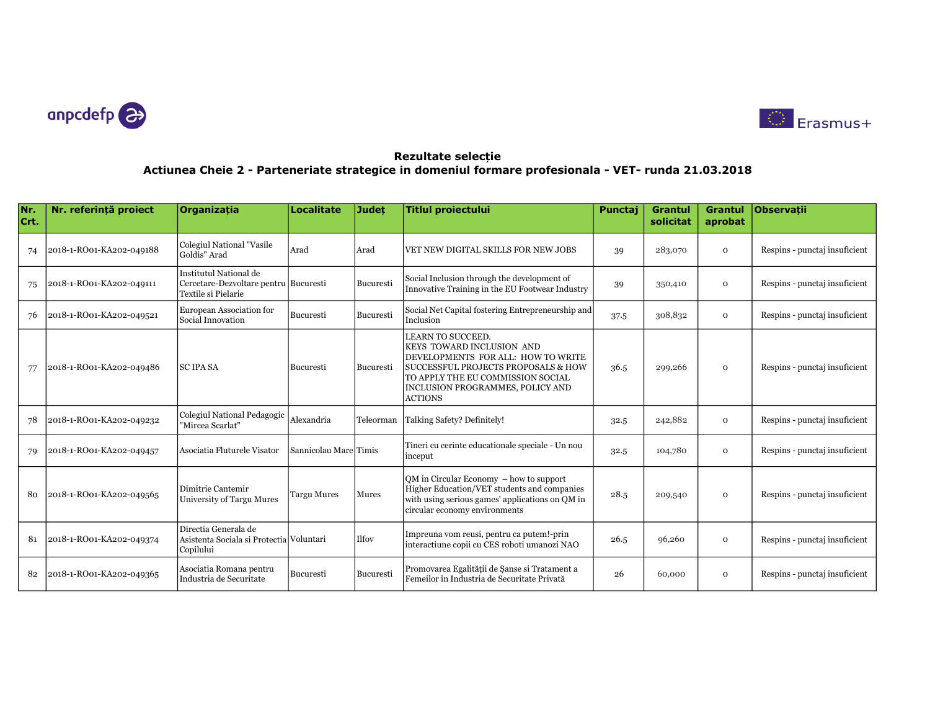



| Nr.<br>Crt. | Nr. referintă proiect    | Organizatia                                                                            | <b>Localitate</b>     | <b>Judet</b> | <b>Titlul proiectului</b>                                                                                                                                                                                              | Punctaj | <b>Grantul</b><br>solicitat | <b>Grantul</b><br>aprobat | <b>Observatii</b>             |
|-------------|--------------------------|----------------------------------------------------------------------------------------|-----------------------|--------------|------------------------------------------------------------------------------------------------------------------------------------------------------------------------------------------------------------------------|---------|-----------------------------|---------------------------|-------------------------------|
| 74          | 2018-1-RO01-KA202-049188 | Colegiul National "Vasile<br>Goldis" Arad                                              | Arad                  | Arad         | VET NEW DIGITAL SKILLS FOR NEW JOBS                                                                                                                                                                                    | 39      | 283,070                     | $\mathbf{o}$              | Respins - punctaj insuficient |
| 75          | 2018-1-RO01-KA202-049111 | Institutul National de<br>Cercetare-Dezvoltare pentru Bucuresti<br>Textile si Pielarie |                       | Bucuresti    | Social Inclusion through the development of<br>Innovative Training in the EU Footwear Industry                                                                                                                         | 39      | 350,410                     | $\mathbf{O}$              | Respins - punctaj insuficient |
| 76          | 2018-1-RO01-KA202-049521 | European Association for<br>Social Innovation                                          | Bucuresti             | Bucuresti    | Social Net Capital fostering Entrepreneurship and<br>Inclusion                                                                                                                                                         | 37.5    | 308,832                     | $\mathbf{o}$              | Respins - punctaj insuficient |
| 77          | 2018-1-RO01-KA202-049486 | <b>SC IPA SA</b>                                                                       | Bucuresti             | Bucuresti    | LEARN TO SUCCEED.<br>KEYS TOWARD INCLUSION AND<br>DEVELOPMENTS FOR ALL: HOW TO WRITE<br>SUCCESSFUL PROJECTS PROPOSALS & HOW<br>TO APPLY THE EU COMMISSION SOCIAL<br>INCLUSION PROGRAMMES, POLICY AND<br><b>ACTIONS</b> | 36.5    | 299,266                     | $\mathbf{o}$              | Respins - punctaj insuficient |
| 78          | 2018-1-RO01-KA202-049232 | Colegiul National Pedagogic<br>"Mircea Scarlat"                                        | Alexandria            | Teleorman    | Talking Safety? Definitely!                                                                                                                                                                                            | 32.5    | 242,882                     | $\mathbf{o}$              | Respins - punctaj insuficient |
| 79          | 2018-1-RO01-KA202-049457 | Asociatia Fluturele Visator                                                            | Sannicolau MarelTimis |              | Tineri cu cerinte educationale speciale - Un nou<br>inceput                                                                                                                                                            | 32.5    | 104,780                     | $\mathbf{o}$              | Respins - punctaj insuficient |
| 80          | 2018-1-RO01-KA202-049565 | Dimitrie Cantemir<br>University of Targu Mures                                         | <b>Targu Mures</b>    | Mures        | $OM$ in Circular Economy $-$ how to support<br>Higher Education/VET students and companies<br>with using serious games' applications on QM in<br>circular economy environments                                         | 28.5    | 209,540                     | $\mathbf{o}$              | Respins - punctaj insuficient |
| 81          | 2018-1-RO01-KA202-049374 | Directia Generala de<br>Asistenta Sociala si Protectia Voluntari<br>Copilului          |                       | Ilfov        | Impreuna vom reusi, pentru ca putem!-prin<br>interactiune copii cu CES roboti umanozi NAO                                                                                                                              | 26.5    | 96,260                      | $\mathbf{o}$              | Respins - punctaj insuficient |
| 82          | 2018-1-RO01-KA202-049365 | Asociatia Romana pentru<br>Industria de Securitate                                     | Bucuresti             | Bucuresti    | Promovarea Egalității de Șanse si Tratament a<br>Femeilor în Industria de Securitate Privată                                                                                                                           | 26      | 60,000                      | $\mathbf{o}$              | Respins - punctaj insuficient |